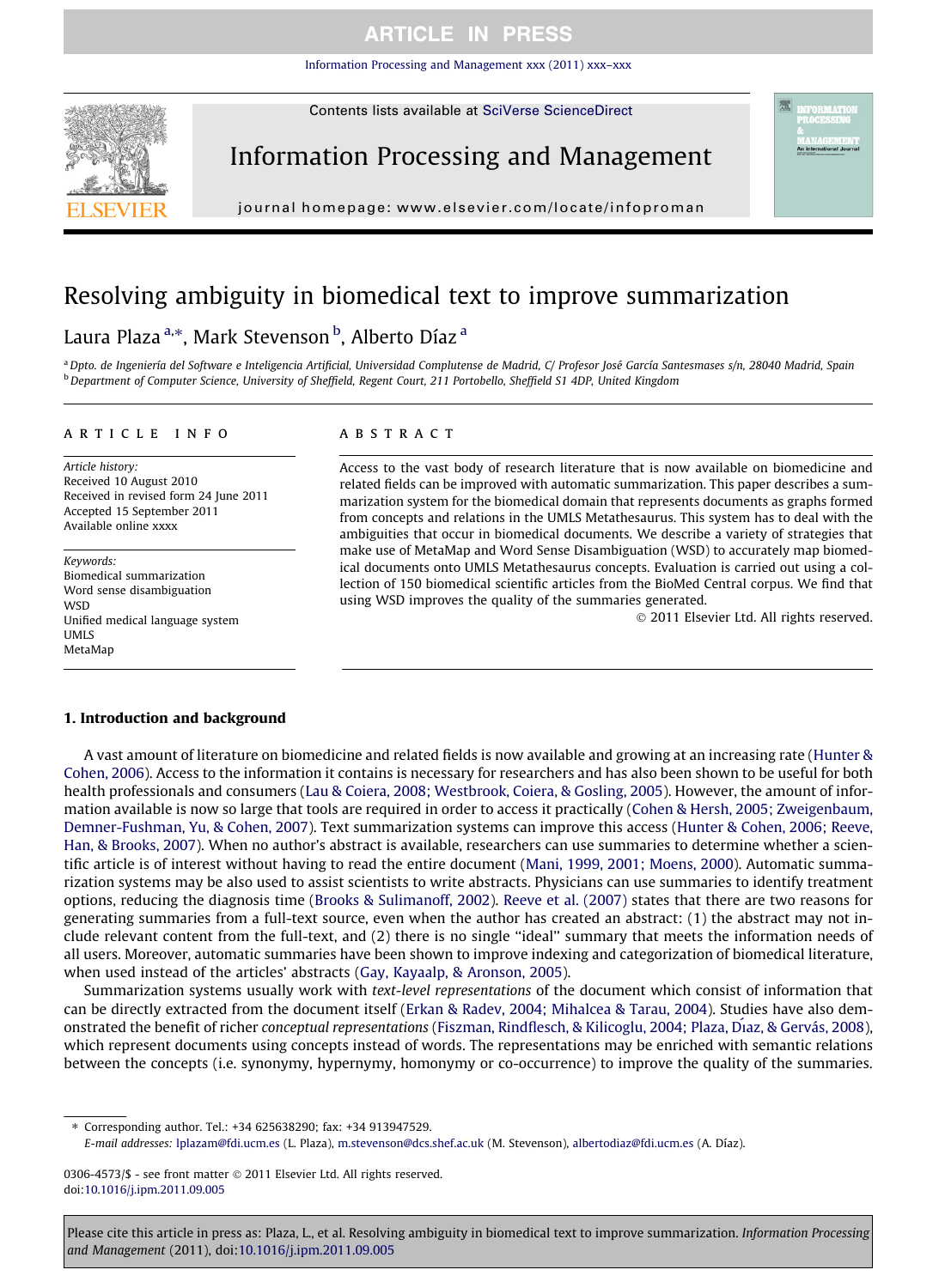[Information Processing and Management xxx \(2011\) xxx–xxx](http://dx.doi.org/10.1016/j.ipm.2011.09.005)

Contents lists available at [SciVerse ScienceDirect](http://www.sciencedirect.com/science/journal/03064573)

# Information Processing and Management

journal homepage: [www.elsevier.com/locate/infoproman](http://www.elsevier.com/locate/infoproman)

# Resolving ambiguity in biomedical text to improve summarization

# Laura Plaza <sup>a,</sup>\*, Mark Stevenson <sup>b</sup>, Alberto Díaz <sup>a</sup>

<sup>a</sup> Dpto. de Ingeniería del Software e Inteligencia Artificial, Universidad Complutense de Madrid, C/ Profesor José García Santesmases s/n, 28040 Madrid, Spain <sup>b</sup> Department of Computer Science, University of Sheffield, Regent Court, 211 Portobello, Sheffield S1 4DP, United Kingdom

#### article info

Article history: Received 10 August 2010 Received in revised form 24 June 2011 Accepted 15 September 2011 Available online xxxx

Keywords: Biomedical summarization Word sense disambiguation **WSD** Unified medical language system UMLS MetaMap

#### **ABSTRACT**

Access to the vast body of research literature that is now available on biomedicine and related fields can be improved with automatic summarization. This paper describes a summarization system for the biomedical domain that represents documents as graphs formed from concepts and relations in the UMLS Metathesaurus. This system has to deal with the ambiguities that occur in biomedical documents. We describe a variety of strategies that make use of MetaMap and Word Sense Disambiguation (WSD) to accurately map biomedical documents onto UMLS Metathesaurus concepts. Evaluation is carried out using a collection of 150 biomedical scientific articles from the BioMed Central corpus. We find that using WSD improves the quality of the summaries generated.

- 2011 Elsevier Ltd. All rights reserved.

#### 1. Introduction and background

A vast amount of literature on biomedicine and related fields is now available and growing at an increasing rate ([Hunter &](#page-10-0) [Cohen, 2006](#page-10-0)). Access to the information it contains is necessary for researchers and has also been shown to be useful for both health professionals and consumers [\(Lau & Coiera, 2008; Westbrook, Coiera, & Gosling, 2005](#page-10-0)). However, the amount of information available is now so large that tools are required in order to access it practically [\(Cohen & Hersh, 2005; Zweigenbaum,](#page-10-0) [Demner-Fushman, Yu, & Cohen, 2007\)](#page-10-0). Text summarization systems can improve this access [\(Hunter & Cohen, 2006; Reeve,](#page-10-0) [Han, & Brooks, 2007\)](#page-10-0). When no author's abstract is available, researchers can use summaries to determine whether a scientific article is of interest without having to read the entire document [\(Mani, 1999, 2001; Moens, 2000\)](#page-10-0). Automatic summarization systems may be also used to assist scientists to write abstracts. Physicians can use summaries to identify treatment options, reducing the diagnosis time [\(Brooks & Sulimanoff, 2002\)](#page-10-0). [Reeve et al. \(2007\)](#page-11-0) states that there are two reasons for generating summaries from a full-text source, even when the author has created an abstract: (1) the abstract may not include relevant content from the full-text, and (2) there is no single ''ideal'' summary that meets the information needs of all users. Moreover, automatic summaries have been shown to improve indexing and categorization of biomedical literature, when used instead of the articles' abstracts ([Gay, Kayaalp, & Aronson, 2005](#page-10-0)).

Summarization systems usually work with text-level representations of the document which consist of information that can be directly extracted from the document itself ([Erkan & Radev, 2004; Mihalcea & Tarau, 2004\)](#page-10-0). Studies have also demonstrated the benefit of richer conceptual representations (Fiszman, Rindflesch, & Kilicoglu, 2004; Plaza, Di[az, & Gervás, 2008](#page-10-0)), which represent documents using concepts instead of words. The representations may be enriched with semantic relations between the concepts (i.e. synonymy, hypernymy, homonymy or co-occurrence) to improve the quality of the summaries.

⇑ Corresponding author. Tel.: +34 625638290; fax: +34 913947529.

E-mail addresses: [lplazam@fdi.ucm.es](mailto:lplazam@fdi.ucm.es) (L. Plaza), [m.stevenson@dcs.shef.ac.uk](mailto:m.stevenson@dcs.shef.ac.uk) (M. Stevenson), [albertodiaz@fdi.ucm.es](mailto:albertodiaz@fdi.ucm.es) (A. Díaz).

0306-4573/\$ - see front matter © 2011 Elsevier Ltd. All rights reserved. doi:[10.1016/j.ipm.2011.09.005](http://dx.doi.org/10.1016/j.ipm.2011.09.005)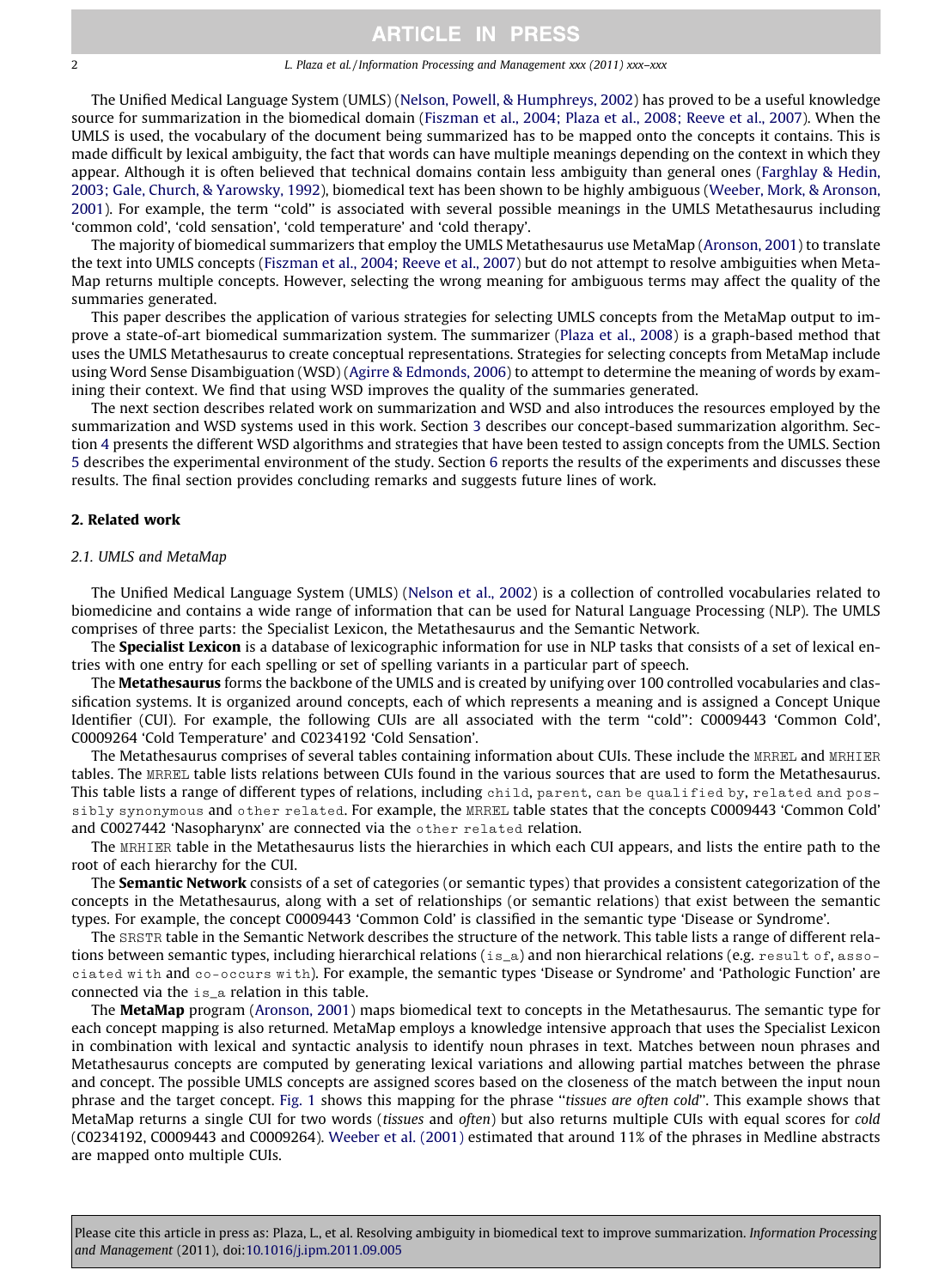#### 2 L. Plaza et al. / Information Processing and Management xxx (2011) xxx–xxx

The Unified Medical Language System (UMLS) ([Nelson, Powell, & Humphreys, 2002\)](#page-10-0) has proved to be a useful knowledge source for summarization in the biomedical domain ([Fiszman et al., 2004; Plaza et al., 2008; Reeve et al., 2007](#page-10-0)). When the UMLS is used, the vocabulary of the document being summarized has to be mapped onto the concepts it contains. This is made difficult by lexical ambiguity, the fact that words can have multiple meanings depending on the context in which they appear. Although it is often believed that technical domains contain less ambiguity than general ones ([Farghlay & Hedin,](#page-10-0) [2003; Gale, Church, & Yarowsky, 1992\)](#page-10-0), biomedical text has been shown to be highly ambiguous ([Weeber, Mork, & Aronson,](#page-11-0) [2001](#page-11-0)). For example, the term ''cold'' is associated with several possible meanings in the UMLS Metathesaurus including 'common cold', 'cold sensation', 'cold temperature' and 'cold therapy'.

The majority of biomedical summarizers that employ the UMLS Metathesaurus use MetaMap ([Aronson, 2001\)](#page-10-0) to translate the text into UMLS concepts [\(Fiszman et al., 2004; Reeve et al., 2007](#page-10-0)) but do not attempt to resolve ambiguities when Meta-Map returns multiple concepts. However, selecting the wrong meaning for ambiguous terms may affect the quality of the summaries generated.

This paper describes the application of various strategies for selecting UMLS concepts from the MetaMap output to improve a state-of-art biomedical summarization system. The summarizer ([Plaza et al., 2008](#page-10-0)) is a graph-based method that uses the UMLS Metathesaurus to create conceptual representations. Strategies for selecting concepts from MetaMap include using Word Sense Disambiguation (WSD) [\(Agirre & Edmonds, 2006\)](#page-10-0) to attempt to determine the meaning of words by examining their context. We find that using WSD improves the quality of the summaries generated.

The next section describes related work on summarization and WSD and also introduces the resources employed by the summarization and WSD systems used in this work. Section 3 describes our concept-based summarization algorithm. Section 4 presents the different WSD algorithms and strategies that have been tested to assign concepts from the UMLS. Section 5 describes the experimental environment of the study. Section 6 reports the results of the experiments and discusses these results. The final section provides concluding remarks and suggests future lines of work.

#### 2. Related work

#### 2.1. UMLS and MetaMap

The Unified Medical Language System (UMLS) [\(Nelson et al., 2002\)](#page-10-0) is a collection of controlled vocabularies related to biomedicine and contains a wide range of information that can be used for Natural Language Processing (NLP). The UMLS comprises of three parts: the Specialist Lexicon, the Metathesaurus and the Semantic Network.

The Specialist Lexicon is a database of lexicographic information for use in NLP tasks that consists of a set of lexical entries with one entry for each spelling or set of spelling variants in a particular part of speech.

The Metathesaurus forms the backbone of the UMLS and is created by unifying over 100 controlled vocabularies and classification systems. It is organized around concepts, each of which represents a meaning and is assigned a Concept Unique Identifier (CUI). For example, the following CUIs are all associated with the term ''cold'': C0009443 'Common Cold', C0009264 'Cold Temperature' and C0234192 'Cold Sensation'.

The Metathesaurus comprises of several tables containing information about CUIs. These include the MRREL and MRHIER tables. The MRREL table lists relations between CUIs found in the various sources that are used to form the Metathesaurus. This table lists a range of different types of relations, including child, parent, can be qualified by, related and possibly synonymous and other related. For example, the MRREL table states that the concepts C0009443 'Common Cold' and C0027442 'Nasopharynx' are connected via the other related relation.

The MRHIER table in the Metathesaurus lists the hierarchies in which each CUI appears, and lists the entire path to the root of each hierarchy for the CUI.

The Semantic Network consists of a set of categories (or semantic types) that provides a consistent categorization of the concepts in the Metathesaurus, along with a set of relationships (or semantic relations) that exist between the semantic types. For example, the concept C0009443 'Common Cold' is classified in the semantic type 'Disease or Syndrome'.

The SRSTR table in the Semantic Network describes the structure of the network. This table lists a range of different relations between semantic types, including hierarchical relations (is\_a) and non hierarchical relations (e.g. result of, associated with and co-occurs with). For example, the semantic types 'Disease or Syndrome' and 'Pathologic Function' are connected via the is\_a relation in this table.

The MetaMap program ([Aronson, 2001\)](#page-10-0) maps biomedical text to concepts in the Metathesaurus. The semantic type for each concept mapping is also returned. MetaMap employs a knowledge intensive approach that uses the Specialist Lexicon in combination with lexical and syntactic analysis to identify noun phrases in text. Matches between noun phrases and Metathesaurus concepts are computed by generating lexical variations and allowing partial matches between the phrase and concept. The possible UMLS concepts are assigned scores based on the closeness of the match between the input noun phrase and the target concept. [Fig. 1](#page-2-0) shows this mapping for the phrase "tissues are often cold". This example shows that MetaMap returns a single CUI for two words (tissues and often) but also returns multiple CUIs with equal scores for cold (C0234192, C0009443 and C0009264). [Weeber et al. \(2001\)](#page-11-0) estimated that around 11% of the phrases in Medline abstracts are mapped onto multiple CUIs.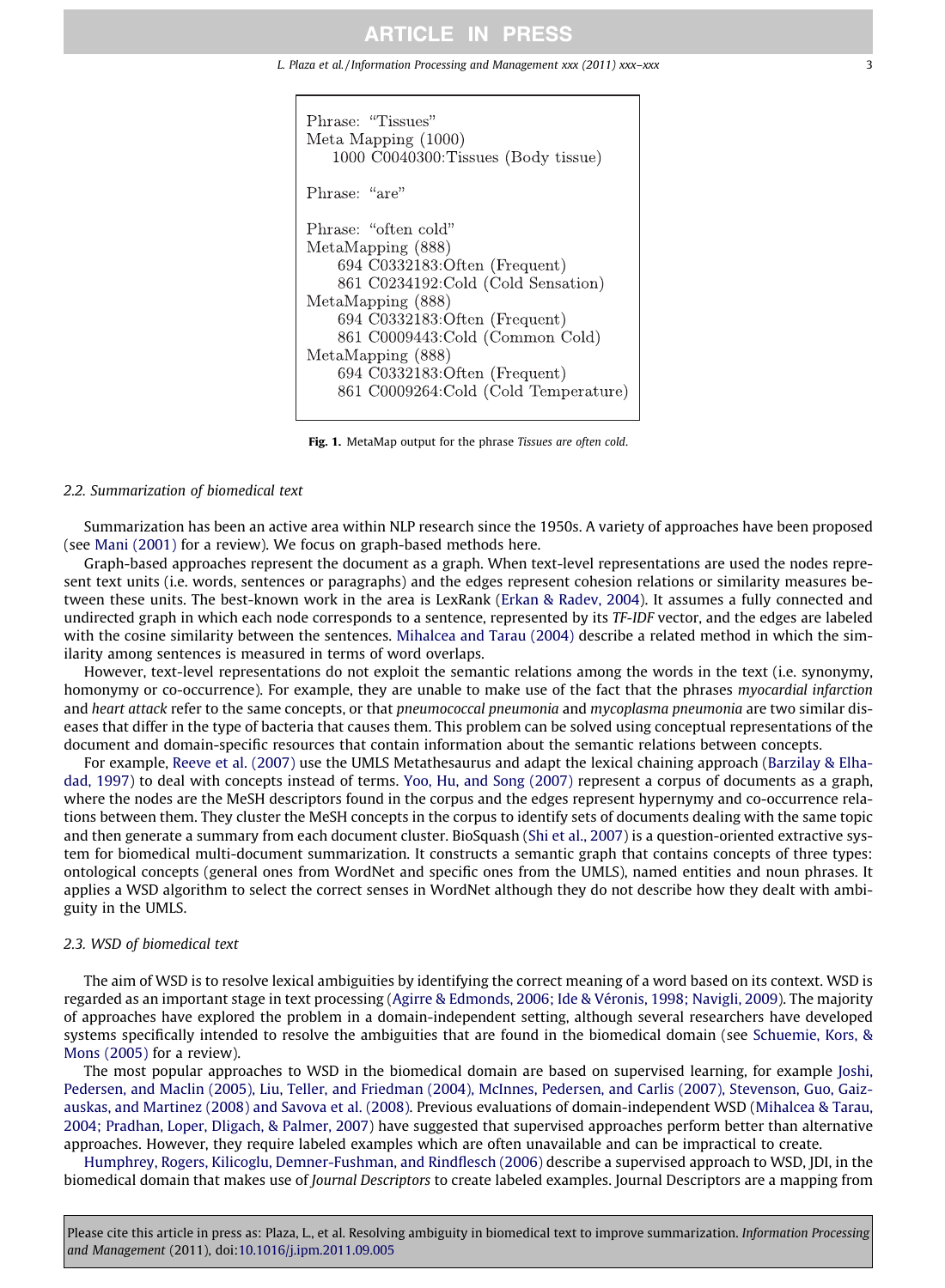#### <span id="page-2-0"></span>L. Plaza et al. / Information Processing and Management xxx (2011) xxx-xxx



Fig. 1. MetaMap output for the phrase Tissues are often cold.

#### 2.2. Summarization of biomedical text

Summarization has been an active area within NLP research since the 1950s. A variety of approaches have been proposed (see [Mani \(2001\)](#page-10-0) for a review). We focus on graph-based methods here.

Graph-based approaches represent the document as a graph. When text-level representations are used the nodes represent text units (i.e. words, sentences or paragraphs) and the edges represent cohesion relations or similarity measures between these units. The best-known work in the area is LexRank ([Erkan & Radev, 2004\)](#page-10-0). It assumes a fully connected and undirected graph in which each node corresponds to a sentence, represented by its TF-IDF vector, and the edges are labeled with the cosine similarity between the sentences. [Mihalcea and Tarau \(2004\)](#page-10-0) describe a related method in which the similarity among sentences is measured in terms of word overlaps.

However, text-level representations do not exploit the semantic relations among the words in the text (i.e. synonymy, homonymy or co-occurrence). For example, they are unable to make use of the fact that the phrases myocardial infarction and heart attack refer to the same concepts, or that pneumococcal pneumonia and mycoplasma pneumonia are two similar diseases that differ in the type of bacteria that causes them. This problem can be solved using conceptual representations of the document and domain-specific resources that contain information about the semantic relations between concepts.

For example, [Reeve et al. \(2007\)](#page-11-0) use the UMLS Metathesaurus and adapt the lexical chaining approach ([Barzilay & Elha](#page-10-0)[dad, 1997\)](#page-10-0) to deal with concepts instead of terms. [Yoo, Hu, and Song \(2007\)](#page-11-0) represent a corpus of documents as a graph, where the nodes are the MeSH descriptors found in the corpus and the edges represent hypernymy and co-occurrence relations between them. They cluster the MeSH concepts in the corpus to identify sets of documents dealing with the same topic and then generate a summary from each document cluster. BioSquash ([Shi et al., 2007](#page-11-0)) is a question-oriented extractive system for biomedical multi-document summarization. It constructs a semantic graph that contains concepts of three types: ontological concepts (general ones from WordNet and specific ones from the UMLS), named entities and noun phrases. It applies a WSD algorithm to select the correct senses in WordNet although they do not describe how they dealt with ambiguity in the UMLS.

#### 2.3. WSD of biomedical text

The aim of WSD is to resolve lexical ambiguities by identifying the correct meaning of a word based on its context. WSD is regarded as an important stage in text processing [\(Agirre & Edmonds, 2006; Ide & Véronis, 1998; Navigli, 2009](#page-10-0)). The majority of approaches have explored the problem in a domain-independent setting, although several researchers have developed systems specifically intended to resolve the ambiguities that are found in the biomedical domain (see [Schuemie, Kors, &](#page-11-0) [Mons \(2005\)](#page-11-0) for a review).

The most popular approaches to WSD in the biomedical domain are based on supervised learning, for example [Joshi,](#page-10-0) [Pedersen, and Maclin \(2005\), Liu, Teller, and Friedman \(2004\), McInnes, Pedersen, and Carlis \(2007\), Stevenson, Guo, Gaiz](#page-10-0)[auskas, and Martinez \(2008\) and Savova et al. \(2008\)](#page-10-0). Previous evaluations of domain-independent WSD ([Mihalcea & Tarau,](#page-10-0) [2004; Pradhan, Loper, Dligach, & Palmer, 2007](#page-10-0)) have suggested that supervised approaches perform better than alternative approaches. However, they require labeled examples which are often unavailable and can be impractical to create.

[Humphrey, Rogers, Kilicoglu, Demner-Fushman, and Rindflesch \(2006\)](#page-10-0) describe a supervised approach to WSD, JDI, in the biomedical domain that makes use of Journal Descriptors to create labeled examples. Journal Descriptors are a mapping from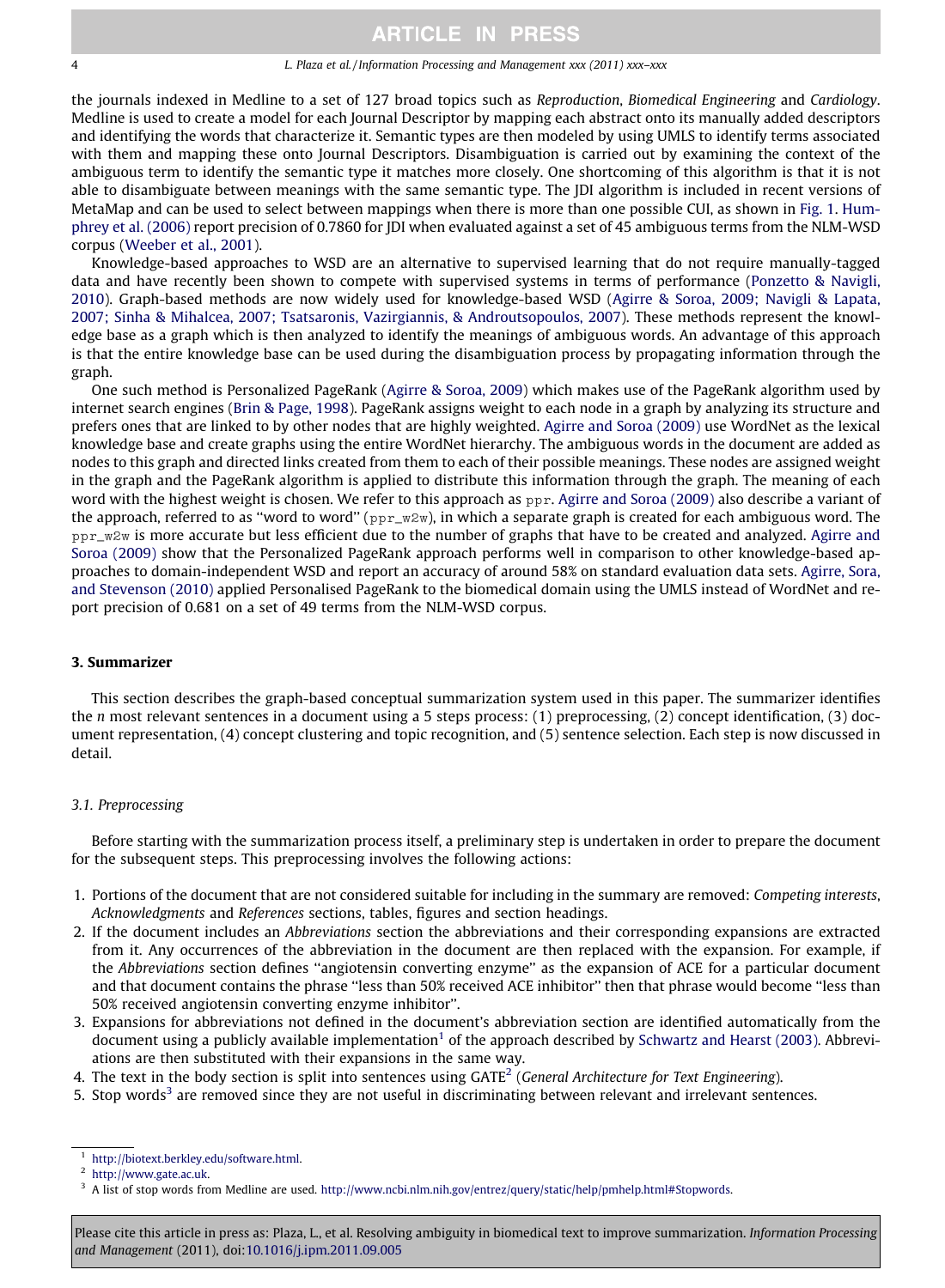#### 4 L. Plaza et al. / Information Processing and Management xxx (2011) xxx–xxx

the journals indexed in Medline to a set of 127 broad topics such as Reproduction, Biomedical Engineering and Cardiology. Medline is used to create a model for each Journal Descriptor by mapping each abstract onto its manually added descriptors and identifying the words that characterize it. Semantic types are then modeled by using UMLS to identify terms associated with them and mapping these onto Journal Descriptors. Disambiguation is carried out by examining the context of the ambiguous term to identify the semantic type it matches more closely. One shortcoming of this algorithm is that it is not able to disambiguate between meanings with the same semantic type. The JDI algorithm is included in recent versions of MetaMap and can be used to select between mappings when there is more than one possible CUI, as shown in [Fig. 1](#page-2-0). [Hum](#page-10-0)[phrey et al. \(2006\)](#page-10-0) report precision of 0.7860 for JDI when evaluated against a set of 45 ambiguous terms from the NLM-WSD corpus [\(Weeber et al., 2001](#page-11-0)).

Knowledge-based approaches to WSD are an alternative to supervised learning that do not require manually-tagged data and have recently been shown to compete with supervised systems in terms of performance ([Ponzetto & Navigli,](#page-11-0) [2010](#page-11-0)). Graph-based methods are now widely used for knowledge-based WSD [\(Agirre & Soroa, 2009; Navigli & Lapata,](#page-10-0) [2007; Sinha & Mihalcea, 2007; Tsatsaronis, Vazirgiannis, & Androutsopoulos, 2007\)](#page-10-0). These methods represent the knowledge base as a graph which is then analyzed to identify the meanings of ambiguous words. An advantage of this approach is that the entire knowledge base can be used during the disambiguation process by propagating information through the graph.

One such method is Personalized PageRank [\(Agirre & Soroa, 2009](#page-10-0)) which makes use of the PageRank algorithm used by internet search engines ([Brin & Page, 1998](#page-10-0)). PageRank assigns weight to each node in a graph by analyzing its structure and prefers ones that are linked to by other nodes that are highly weighted. [Agirre and Soroa \(2009\)](#page-10-0) use WordNet as the lexical knowledge base and create graphs using the entire WordNet hierarchy. The ambiguous words in the document are added as nodes to this graph and directed links created from them to each of their possible meanings. These nodes are assigned weight in the graph and the PageRank algorithm is applied to distribute this information through the graph. The meaning of each word with the highest weight is chosen. We refer to this approach as ppr. [Agirre and Soroa \(2009\)](#page-10-0) also describe a variant of the approach, referred to as "word to word" ( $ppr_{w}w$ ), in which a separate graph is created for each ambiguous word. The ppr\_w2w is more accurate but less efficient due to the number of graphs that have to be created and analyzed. [Agirre and](#page-10-0) [Soroa \(2009\)](#page-10-0) show that the Personalized PageRank approach performs well in comparison to other knowledge-based approaches to domain-independent WSD and report an accuracy of around 58% on standard evaluation data sets. [Agirre, Sora,](#page-10-0) [and Stevenson \(2010\)](#page-10-0) applied Personalised PageRank to the biomedical domain using the UMLS instead of WordNet and report precision of 0.681 on a set of 49 terms from the NLM-WSD corpus.

#### 3. Summarizer

This section describes the graph-based conceptual summarization system used in this paper. The summarizer identifies the n most relevant sentences in a document using a 5 steps process: (1) preprocessing, (2) concept identification, (3) document representation, (4) concept clustering and topic recognition, and (5) sentence selection. Each step is now discussed in detail.

#### 3.1. Preprocessing

Before starting with the summarization process itself, a preliminary step is undertaken in order to prepare the document for the subsequent steps. This preprocessing involves the following actions:

- 1. Portions of the document that are not considered suitable for including in the summary are removed: Competing interests, Acknowledgments and References sections, tables, figures and section headings.
- 2. If the document includes an Abbreviations section the abbreviations and their corresponding expansions are extracted from it. Any occurrences of the abbreviation in the document are then replaced with the expansion. For example, if the Abbreviations section defines ''angiotensin converting enzyme'' as the expansion of ACE for a particular document and that document contains the phrase "less than 50% received ACE inhibitor" then that phrase would become "less than 50% received angiotensin converting enzyme inhibitor''.
- 3. Expansions for abbreviations not defined in the document's abbreviation section are identified automatically from the document using a publicly available implementation<sup>1</sup> of the approach described by [Schwartz and Hearst \(2003\)](#page-11-0). Abbreviations are then substituted with their expansions in the same way.

4. The text in the body section is split into sentences using  $GATE<sup>2</sup>$  (General Architecture for Text Engineering).

5. Stop words<sup>3</sup> are removed since they are not useful in discriminating between relevant and irrelevant sentences.

[http://biotext.berkley.edu/software.html.](http://biotext.berkley.edu/software.html)

<http://www.gate.ac.uk>.

<sup>&</sup>lt;sup>3</sup> A list of stop words from Medline are used. [http://www.ncbi.nlm.nih.gov/entrez/query/static/help/pmhelp.html#Stopwords.](http://www.ncbi.nlm.nih.gov/entrez/query/static/help/pmhelp.html#Stopwords)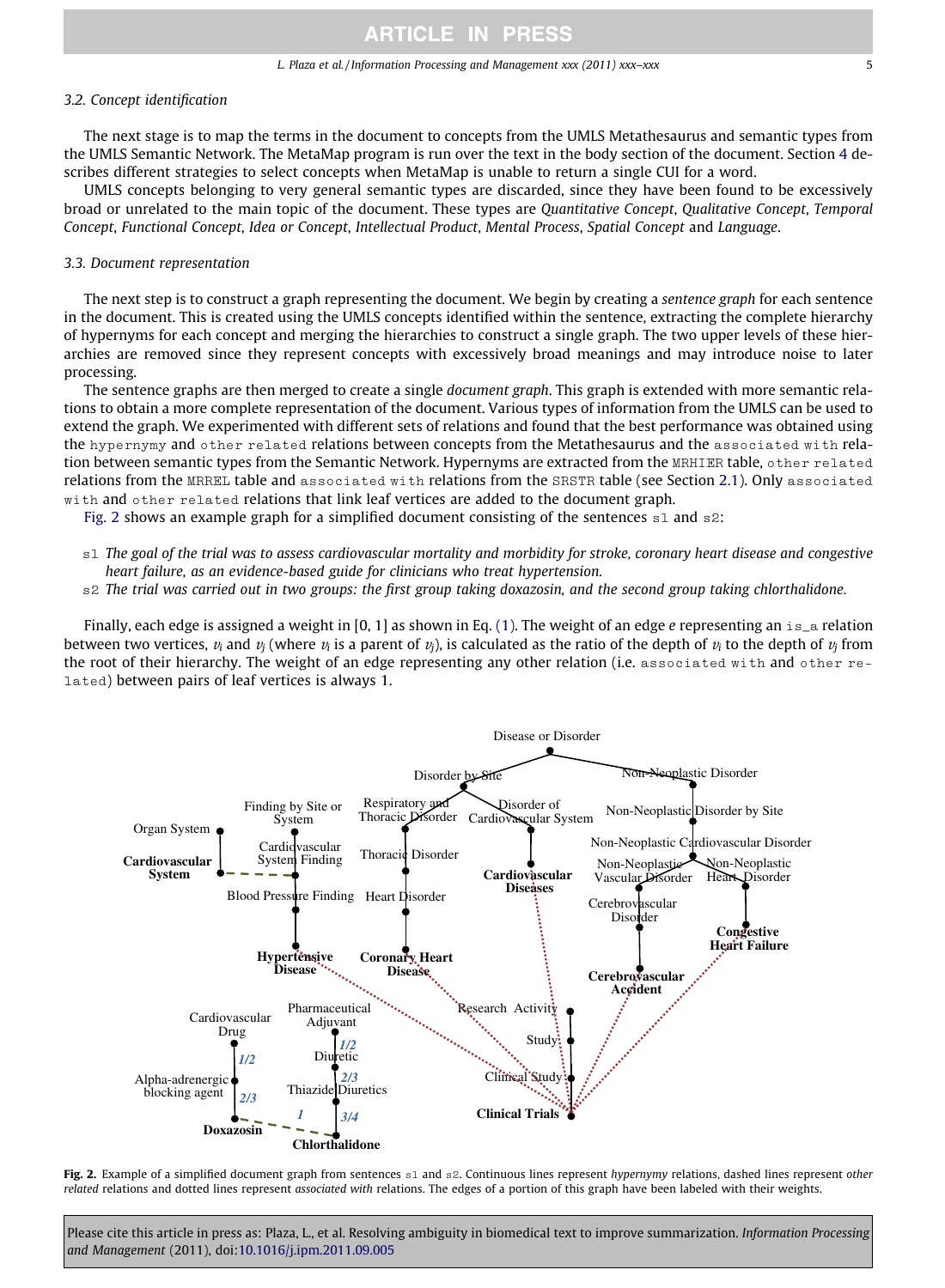### <span id="page-4-0"></span>3.2. Concept identification

The next stage is to map the terms in the document to concepts from the UMLS Metathesaurus and semantic types from the UMLS Semantic Network. The MetaMap program is run over the text in the body section of the document. Section 4 describes different strategies to select concepts when MetaMap is unable to return a single CUI for a word.

UMLS concepts belonging to very general semantic types are discarded, since they have been found to be excessively broad or unrelated to the main topic of the document. These types are Quantitative Concept, Qualitative Concept, Temporal Concept, Functional Concept, Idea or Concept, Intellectual Product, Mental Process, Spatial Concept and Language.

### 3.3. Document representation

The next step is to construct a graph representing the document. We begin by creating a sentence graph for each sentence in the document. This is created using the UMLS concepts identified within the sentence, extracting the complete hierarchy of hypernyms for each concept and merging the hierarchies to construct a single graph. The two upper levels of these hierarchies are removed since they represent concepts with excessively broad meanings and may introduce noise to later processing.

The sentence graphs are then merged to create a single document graph. This graph is extended with more semantic relations to obtain a more complete representation of the document. Various types of information from the UMLS can be used to extend the graph. We experimented with different sets of relations and found that the best performance was obtained using the hypernymy and other related relations between concepts from the Metathesaurus and the associated with relation between semantic types from the Semantic Network. Hypernyms are extracted from the MRHIER table, other related relations from the MRREL table and associated with relations from the SRSTR table (see Section 2.1). Only associated with and other related relations that link leaf vertices are added to the document graph.

Fig. 2 shows an example graph for a simplified document consisting of the sentences  $s1$  and  $s2$ :

- s1 The goal of the trial was to assess cardiovascular mortality and morbidity for stroke, coronary heart disease and congestive heart failure, as an evidence-based guide for clinicians who treat hypertension.
- s2 The trial was carried out in two groups: the first group taking doxazosin, and the second group taking chlorthalidone.

Finally, each edge is assigned a weight in [0, 1] as shown in Eq. [\(1\).](#page-5-0) The weight of an edge e representing an  $i s_a$  relation between two vertices,  $v_i$  and  $v_j$  (where  $v_i$  is a parent of  $v_j$ ), is calculated as the ratio of the depth of  $v_i$  to the depth of  $v_j$  from the root of their hierarchy. The weight of an edge representing any other relation (i.e. associated with and other related) between pairs of leaf vertices is always 1.



Fig. 2. Example of a simplified document graph from sentences s1 and s2. Continuous lines represent hypernymy relations, dashed lines represent other related relations and dotted lines represent associated with relations. The edges of a portion of this graph have been labeled with their weights.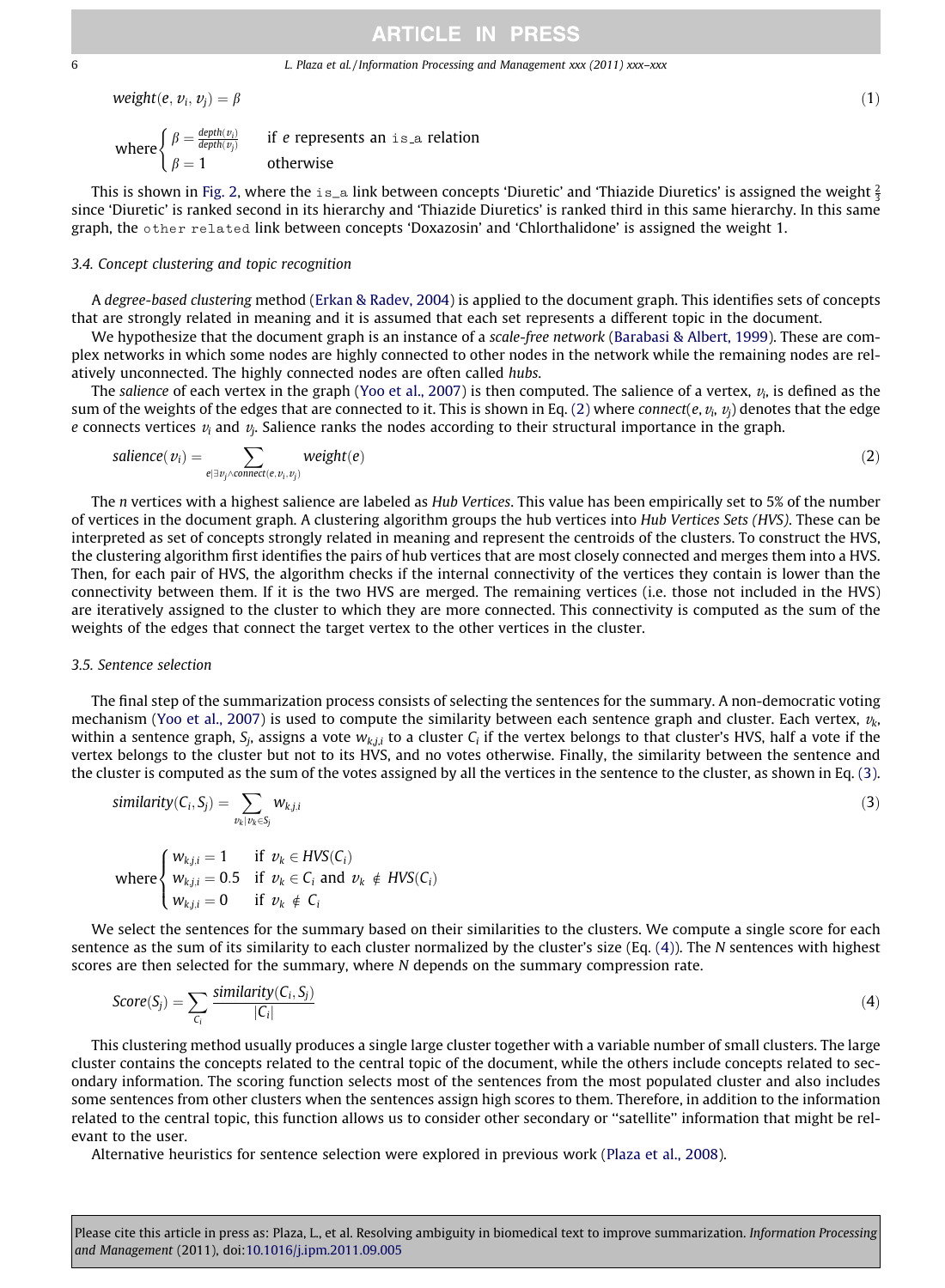<span id="page-5-0"></span>6 L. Plaza et al. / Information Processing and Management xxx (2011) xxx–xxx

$$
weight(e, v_i, v_j) = \beta \tag{1}
$$

where  $\begin{cases} \beta = \frac{depth(v_i)}{depth(v_j)} & \text{if } e \text{ repres} \\ \beta = 1 & \text{otherwise} \end{cases}$ if e represents an is a relation

This is shown in [Fig. 2,](#page-4-0) where the  $\texttt{is\_a}$  link between concepts 'Diuretic' and 'Thiazide Diuretics' is assigned the weight  $\frac{2}{3}$ since 'Diuretic' is ranked second in its hierarchy and 'Thiazide Diuretics' is ranked third in this same hierarchy. In this same graph, the other related link between concepts 'Doxazosin' and 'Chlorthalidone' is assigned the weight 1.

### 3.4. Concept clustering and topic recognition

A degree-based clustering method ([Erkan & Radev, 2004\)](#page-10-0) is applied to the document graph. This identifies sets of concepts that are strongly related in meaning and it is assumed that each set represents a different topic in the document.

We hypothesize that the document graph is an instance of a scale-free network ([Barabasi & Albert, 1999\)](#page-10-0). These are complex networks in which some nodes are highly connected to other nodes in the network while the remaining nodes are relatively unconnected. The highly connected nodes are often called hubs.

The salience of each vertex in the graph [\(Yoo et al., 2007\)](#page-11-0) is then computed. The salience of a vertex,  $v_i$ , is defined as the sum of the weights of the edges that are connected to it. This is shown in Eq. (2) where connect(e,  $v_i$ ,  $v_j$ ) denotes that the edge e connects vertices  $v_i$  and  $v_j$ . Salience ranks the nodes according to their structural importance in the graph.

$$
salience(v_i) = \sum_{e \mid \exists v_j \land connect(e, v_i, v_j)} weight(e)
$$
\n(2)

The *n* vertices with a highest salience are labeled as *Hub Vertices*. This value has been empirically set to 5% of the number of vertices in the document graph. A clustering algorithm groups the hub vertices into Hub Vertices Sets (HVS). These can be interpreted as set of concepts strongly related in meaning and represent the centroids of the clusters. To construct the HVS, the clustering algorithm first identifies the pairs of hub vertices that are most closely connected and merges them into a HVS. Then, for each pair of HVS, the algorithm checks if the internal connectivity of the vertices they contain is lower than the connectivity between them. If it is the two HVS are merged. The remaining vertices (i.e. those not included in the HVS) are iteratively assigned to the cluster to which they are more connected. This connectivity is computed as the sum of the weights of the edges that connect the target vertex to the other vertices in the cluster.

#### 3.5. Sentence selection

The final step of the summarization process consists of selecting the sentences for the summary. A non-democratic voting mechanism ([Yoo et al., 2007](#page-11-0)) is used to compute the similarity between each sentence graph and cluster. Each vertex,  $v_k$ , within a sentence graph,  $S_i$ , assigns a vote  $w_{k,ij}$  to a cluster  $C_i$  if the vertex belongs to that cluster's HVS, half a vote if the vertex belongs to the cluster but not to its HVS, and no votes otherwise. Finally, the similarity between the sentence and the cluster is computed as the sum of the votes assigned by all the vertices in the sentence to the cluster, as shown in Eq. (3).

$$
similarity(C_i, S_j) = \sum_{v_k \mid v_k \in S_j} w_{k,j,i}
$$
\n(3)

where 
$$
\begin{cases} w_{k,j,i} = 1 & \text{if } v_k \in HVS(C_i) \\ w_{k,j,i} = 0.5 & \text{if } v_k \in C_i \text{ and } v_k \notin HVS(C_i) \\ w_{k,j,i} = 0 & \text{if } v_k \notin C_i \end{cases}
$$

We select the sentences for the summary based on their similarities to the clusters. We compute a single score for each sentence as the sum of its similarity to each cluster normalized by the cluster's size (Eq.  $(4)$ ). The N sentences with highest scores are then selected for the summary, where N depends on the summary compression rate.

$$
Score(S_j) = \sum_{C_i} \frac{similarity(C_i, S_j)}{|C_i|}
$$
\n(4)

This clustering method usually produces a single large cluster together with a variable number of small clusters. The large cluster contains the concepts related to the central topic of the document, while the others include concepts related to secondary information. The scoring function selects most of the sentences from the most populated cluster and also includes some sentences from other clusters when the sentences assign high scores to them. Therefore, in addition to the information related to the central topic, this function allows us to consider other secondary or ''satellite'' information that might be relevant to the user.

Alternative heuristics for sentence selection were explored in previous work ([Plaza et al., 2008\)](#page-10-0).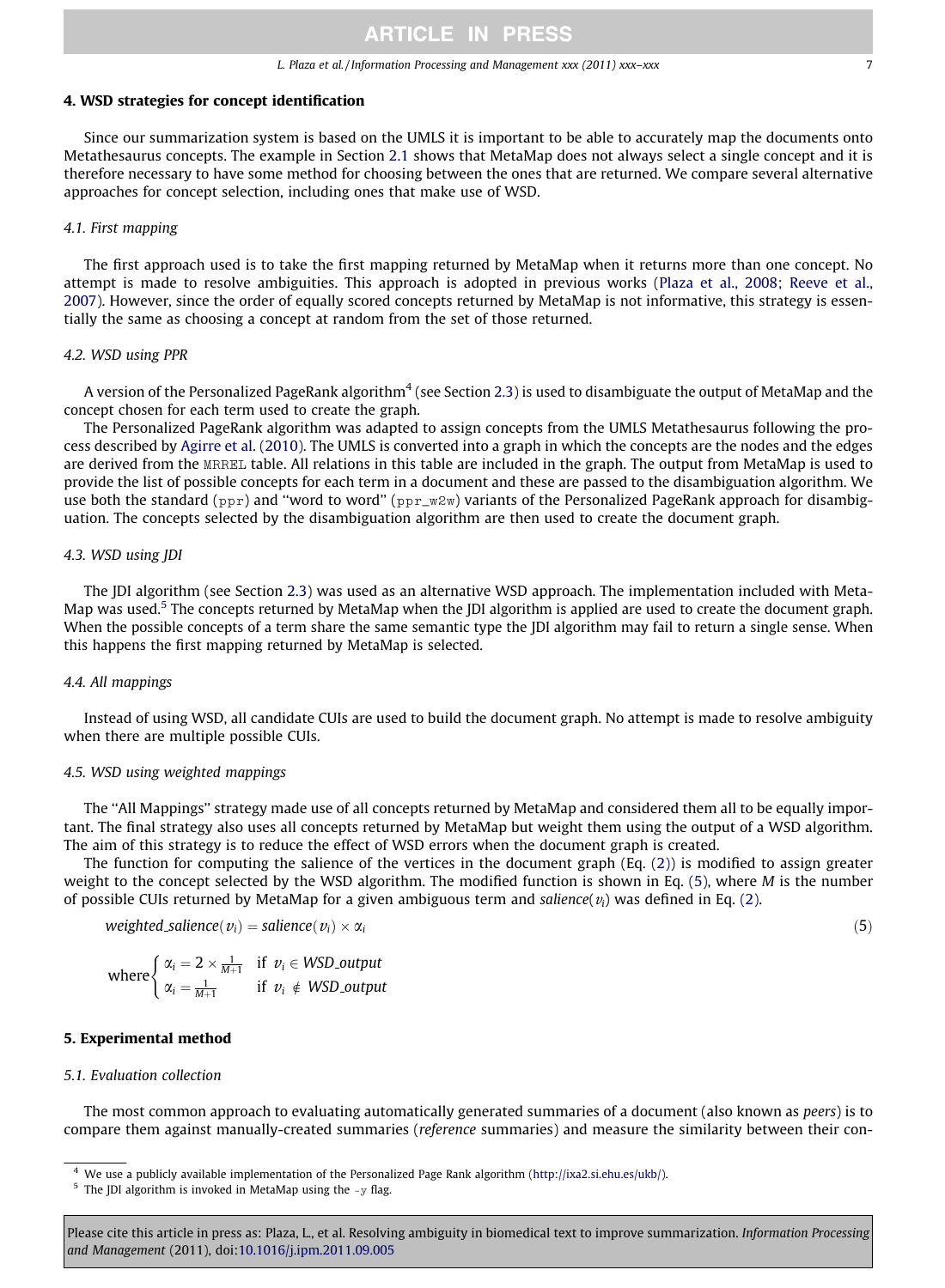### 4. WSD strategies for concept identification

Since our summarization system is based on the UMLS it is important to be able to accurately map the documents onto Metathesaurus concepts. The example in Section 2.1 shows that MetaMap does not always select a single concept and it is therefore necessary to have some method for choosing between the ones that are returned. We compare several alternative approaches for concept selection, including ones that make use of WSD.

### 4.1. First mapping

The first approach used is to take the first mapping returned by MetaMap when it returns more than one concept. No attempt is made to resolve ambiguities. This approach is adopted in previous works ([Plaza et al., 2008; Reeve et al.,](#page-10-0) [2007\)](#page-10-0). However, since the order of equally scored concepts returned by MetaMap is not informative, this strategy is essentially the same as choosing a concept at random from the set of those returned.

### 4.2. WSD using PPR

A version of the Personalized PageRank algorithm<sup>4</sup> (see Section 2.3) is used to disambiguate the output of MetaMap and the concept chosen for each term used to create the graph.

The Personalized PageRank algorithm was adapted to assign concepts from the UMLS Metathesaurus following the process described by [Agirre et al. \(2010\).](#page-10-0) The UMLS is converted into a graph in which the concepts are the nodes and the edges are derived from the MRREL table. All relations in this table are included in the graph. The output from MetaMap is used to provide the list of possible concepts for each term in a document and these are passed to the disambiguation algorithm. We use both the standard (ppr) and "word to word" ( $ppr_wzw$ ) variants of the Personalized PageRank approach for disambiguation. The concepts selected by the disambiguation algorithm are then used to create the document graph.

#### 4.3. WSD using JDI

The JDI algorithm (see Section 2.3) was used as an alternative WSD approach. The implementation included with Meta-Map was used.<sup>5</sup> The concepts returned by MetaMap when the JDI algorithm is applied are used to create the document graph. When the possible concepts of a term share the same semantic type the [DI algorithm may fail to return a single sense. When this happens the first mapping returned by MetaMap is selected.

### 4.4. All mappings

Instead of using WSD, all candidate CUIs are used to build the document graph. No attempt is made to resolve ambiguity when there are multiple possible CUIs.

### 4.5. WSD using weighted mappings

The ''All Mappings'' strategy made use of all concepts returned by MetaMap and considered them all to be equally important. The final strategy also uses all concepts returned by MetaMap but weight them using the output of a WSD algorithm. The aim of this strategy is to reduce the effect of WSD errors when the document graph is created.

The function for computing the salience of the vertices in the document graph (Eq. [\(2\)](#page-5-0)) is modified to assign greater weight to the concept selected by the WSD algorithm. The modified function is shown in Eq. (5), where M is the number of possible CUIs returned by MetaMap for a given ambiguous term and salience( $v_i$ ) was defined in Eq. [\(2\)](#page-5-0).

weighted salience( $v_i$ ) = salience( $v_i$ ) ×  $\alpha_i$  $\times \alpha_i$  (5)

where 
$$
\begin{cases} \alpha_i = 2 \times \frac{1}{M+1} & \text{if } v_i \in WSD\_output \\ \alpha_i = \frac{1}{M+1} & \text{if } v_i \notin WSD\_output \end{cases}
$$

#### 5. Experimental method

### 5.1. Evaluation collection

The most common approach to evaluating automatically generated summaries of a document (also known as peers) is to compare them against manually-created summaries (reference summaries) and measure the similarity between their con-

<sup>4</sup> We use a publicly available implementation of the Personalized Page Rank algorithm [\(http://ixa2.si.ehu.es/ukb/](http://ixa2.si.ehu.es/ukb/)).

 $5$  The JDI algorithm is invoked in MetaMap using the  $-y$  flag.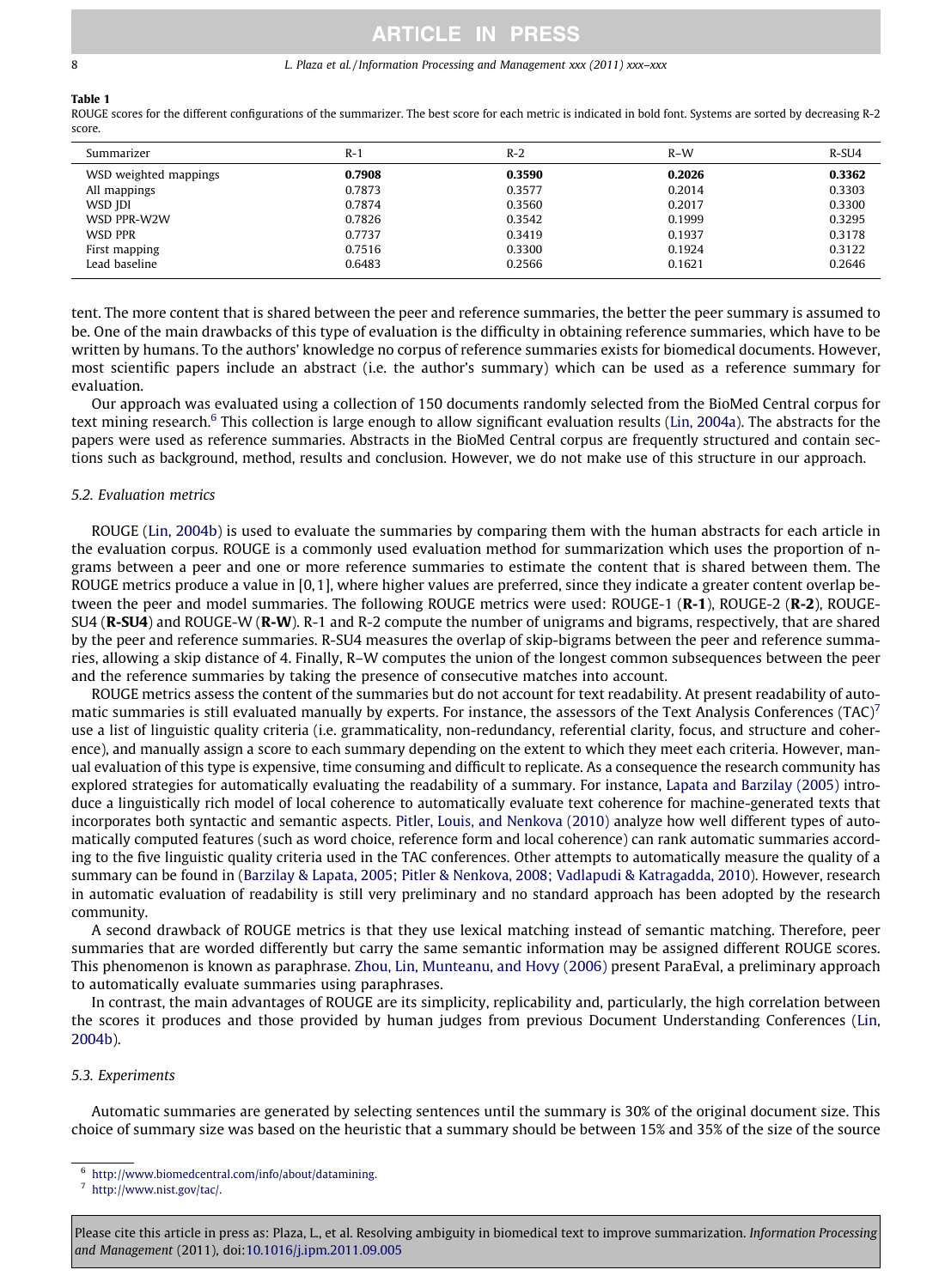## <span id="page-7-0"></span>Table 1

ROUGE scores for the different configurations of the summarizer. The best score for each metric is indicated in bold font. Systems are sorted by decreasing R-2 score.

| Summarizer            | $R-1$  | $R-2$  | $R-W$  | R-SU4  |
|-----------------------|--------|--------|--------|--------|
| WSD weighted mappings | 0.7908 | 0.3590 | 0.2026 | 0.3362 |
| All mappings          | 0.7873 | 0.3577 | 0.2014 | 0.3303 |
| WSD JDI               | 0.7874 | 0.3560 | 0.2017 | 0.3300 |
| WSD PPR-W2W           | 0.7826 | 0.3542 | 0.1999 | 0.3295 |
| WSD PPR               | 0.7737 | 0.3419 | 0.1937 | 0.3178 |
| First mapping         | 0.7516 | 0.3300 | 0.1924 | 0.3122 |
| Lead baseline         | 0.6483 | 0.2566 | 0.1621 | 0.2646 |

tent. The more content that is shared between the peer and reference summaries, the better the peer summary is assumed to be. One of the main drawbacks of this type of evaluation is the difficulty in obtaining reference summaries, which have to be written by humans. To the authors' knowledge no corpus of reference summaries exists for biomedical documents. However, most scientific papers include an abstract (i.e. the author's summary) which can be used as a reference summary for evaluation.

Our approach was evaluated using a collection of 150 documents randomly selected from the BioMed Central corpus for text mining research.<sup>6</sup> This collection is large enough to allow significant evaluation results [\(Lin, 2004a](#page-10-0)). The abstracts for the papers were used as reference summaries. Abstracts in the BioMed Central corpus are frequently structured and contain sections such as background, method, results and conclusion. However, we do not make use of this structure in our approach.

### 5.2. Evaluation metrics

ROUGE [\(Lin, 2004b](#page-10-0)) is used to evaluate the summaries by comparing them with the human abstracts for each article in the evaluation corpus. ROUGE is a commonly used evaluation method for summarization which uses the proportion of ngrams between a peer and one or more reference summaries to estimate the content that is shared between them. The ROUGE metrics produce a value in [0,1], where higher values are preferred, since they indicate a greater content overlap between the peer and model summaries. The following ROUGE metrics were used: ROUGE-1 (R-1), ROUGE-2 (R-2), ROUGE-SU4 (R-SU4) and ROUGE-W (R-W). R-1 and R-2 compute the number of unigrams and bigrams, respectively, that are shared by the peer and reference summaries. R-SU4 measures the overlap of skip-bigrams between the peer and reference summaries, allowing a skip distance of 4. Finally, R–W computes the union of the longest common subsequences between the peer and the reference summaries by taking the presence of consecutive matches into account.

ROUGE metrics assess the content of the summaries but do not account for text readability. At present readability of automatic summaries is still evaluated manually by experts. For instance, the assessors of the Text Analysis Conferences (TAC)<sup>7</sup> use a list of linguistic quality criteria (i.e. grammaticality, non-redundancy, referential clarity, focus, and structure and coherence), and manually assign a score to each summary depending on the extent to which they meet each criteria. However, manual evaluation of this type is expensive, time consuming and difficult to replicate. As a consequence the research community has explored strategies for automatically evaluating the readability of a summary. For instance, [Lapata and Barzilay \(2005\)](#page-10-0) introduce a linguistically rich model of local coherence to automatically evaluate text coherence for machine-generated texts that incorporates both syntactic and semantic aspects. [Pitler, Louis, and Nenkova \(2010\)](#page-10-0) analyze how well different types of automatically computed features (such as word choice, reference form and local coherence) can rank automatic summaries according to the five linguistic quality criteria used in the TAC conferences. Other attempts to automatically measure the quality of a summary can be found in [\(Barzilay & Lapata, 2005; Pitler & Nenkova, 2008; Vadlapudi & Katragadda, 2010](#page-10-0)). However, research in automatic evaluation of readability is still very preliminary and no standard approach has been adopted by the research community.

A second drawback of ROUGE metrics is that they use lexical matching instead of semantic matching. Therefore, peer summaries that are worded differently but carry the same semantic information may be assigned different ROUGE scores. This phenomenon is known as paraphrase. [Zhou, Lin, Munteanu, and Hovy \(2006\)](#page-11-0) present ParaEval, a preliminary approach to automatically evaluate summaries using paraphrases.

In contrast, the main advantages of ROUGE are its simplicity, replicability and, particularly, the high correlation between the scores it produces and those provided by human judges from previous Document Understanding Conferences [\(Lin,](#page-10-0) [2004b\)](#page-10-0).

#### 5.3. Experiments

Automatic summaries are generated by selecting sentences until the summary is 30% of the original document size. This choice of summary size was based on the heuristic that a summary should be between 15% and 35% of the size of the source

[http://www.biomedcentral.com/info/about/datamining.](http://www.biomedcentral.com/info/about/datamining)

<http://www.nist.gov/tac/>.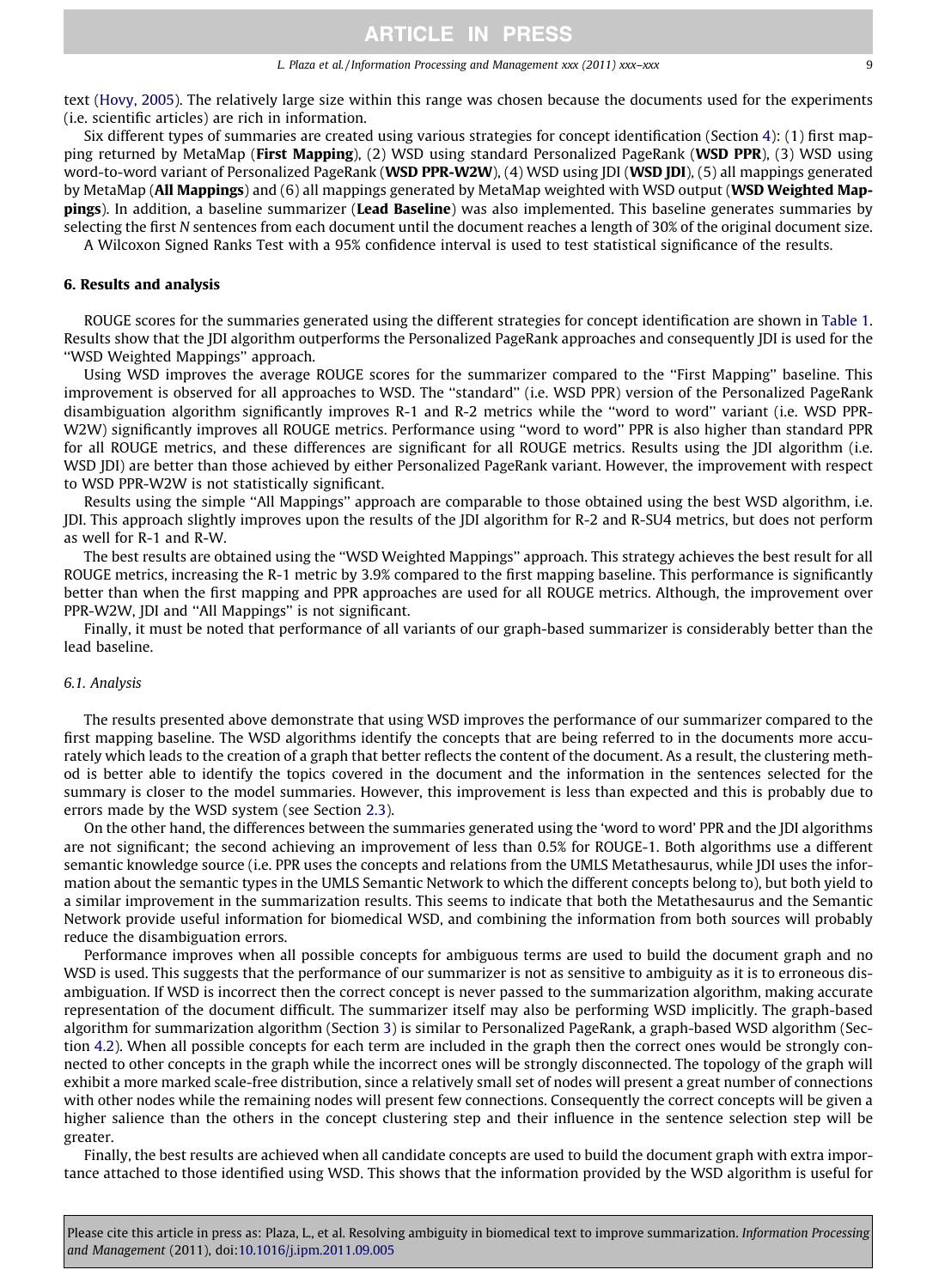text [\(Hovy, 2005](#page-10-0)). The relatively large size within this range was chosen because the documents used for the experiments (i.e. scientific articles) are rich in information.

Six different types of summaries are created using various strategies for concept identification (Section 4): (1) first mapping returned by MetaMap (First Mapping), (2) WSD using standard Personalized PageRank (WSD PPR), (3) WSD using word-to-word variant of Personalized PageRank (WSD PPR-W2W), (4) WSD using JDI (WSD JDI), (5) all mappings generated by MetaMap (All Mappings) and (6) all mappings generated by MetaMap weighted with WSD output (WSD Weighted Mappings). In addition, a baseline summarizer (Lead Baseline) was also implemented. This baseline generates summaries by selecting the first N sentences from each document until the document reaches a length of 30% of the original document size.

A Wilcoxon Signed Ranks Test with a 95% confidence interval is used to test statistical significance of the results.

#### 6. Results and analysis

ROUGE scores for the summaries generated using the different strategies for concept identification are shown in [Table 1](#page-7-0). Results show that the JDI algorithm outperforms the Personalized PageRank approaches and consequently JDI is used for the ''WSD Weighted Mappings'' approach.

Using WSD improves the average ROUGE scores for the summarizer compared to the ''First Mapping'' baseline. This improvement is observed for all approaches to WSD. The ''standard'' (i.e. WSD PPR) version of the Personalized PageRank disambiguation algorithm significantly improves R-1 and R-2 metrics while the ''word to word'' variant (i.e. WSD PPR-W2W) significantly improves all ROUGE metrics. Performance using ''word to word'' PPR is also higher than standard PPR for all ROUGE metrics, and these differences are significant for all ROUGE metrics. Results using the JDI algorithm (i.e. WSD JDI) are better than those achieved by either Personalized PageRank variant. However, the improvement with respect to WSD PPR-W2W is not statistically significant.

Results using the simple ''All Mappings'' approach are comparable to those obtained using the best WSD algorithm, i.e. JDI. This approach slightly improves upon the results of the JDI algorithm for R-2 and R-SU4 metrics, but does not perform as well for R-1 and R-W.

The best results are obtained using the ''WSD Weighted Mappings'' approach. This strategy achieves the best result for all ROUGE metrics, increasing the R-1 metric by 3.9% compared to the first mapping baseline. This performance is significantly better than when the first mapping and PPR approaches are used for all ROUGE metrics. Although, the improvement over PPR-W2W, JDI and "All Mappings" is not significant.

Finally, it must be noted that performance of all variants of our graph-based summarizer is considerably better than the lead baseline.

#### 6.1. Analysis

The results presented above demonstrate that using WSD improves the performance of our summarizer compared to the first mapping baseline. The WSD algorithms identify the concepts that are being referred to in the documents more accurately which leads to the creation of a graph that better reflects the content of the document. As a result, the clustering method is better able to identify the topics covered in the document and the information in the sentences selected for the summary is closer to the model summaries. However, this improvement is less than expected and this is probably due to errors made by the WSD system (see Section 2.3).

On the other hand, the differences between the summaries generated using the 'word to word' PPR and the JDI algorithms are not significant; the second achieving an improvement of less than 0.5% for ROUGE-1. Both algorithms use a different semantic knowledge source (i.e. PPR uses the concepts and relations from the UMLS Metathesaurus, while JDI uses the information about the semantic types in the UMLS Semantic Network to which the different concepts belong to), but both yield to a similar improvement in the summarization results. This seems to indicate that both the Metathesaurus and the Semantic Network provide useful information for biomedical WSD, and combining the information from both sources will probably reduce the disambiguation errors.

Performance improves when all possible concepts for ambiguous terms are used to build the document graph and no WSD is used. This suggests that the performance of our summarizer is not as sensitive to ambiguity as it is to erroneous disambiguation. If WSD is incorrect then the correct concept is never passed to the summarization algorithm, making accurate representation of the document difficult. The summarizer itself may also be performing WSD implicitly. The graph-based algorithm for summarization algorithm (Section 3) is similar to Personalized PageRank, a graph-based WSD algorithm (Section 4.2). When all possible concepts for each term are included in the graph then the correct ones would be strongly connected to other concepts in the graph while the incorrect ones will be strongly disconnected. The topology of the graph will exhibit a more marked scale-free distribution, since a relatively small set of nodes will present a great number of connections with other nodes while the remaining nodes will present few connections. Consequently the correct concepts will be given a higher salience than the others in the concept clustering step and their influence in the sentence selection step will be greater.

Finally, the best results are achieved when all candidate concepts are used to build the document graph with extra importance attached to those identified using WSD. This shows that the information provided by the WSD algorithm is useful for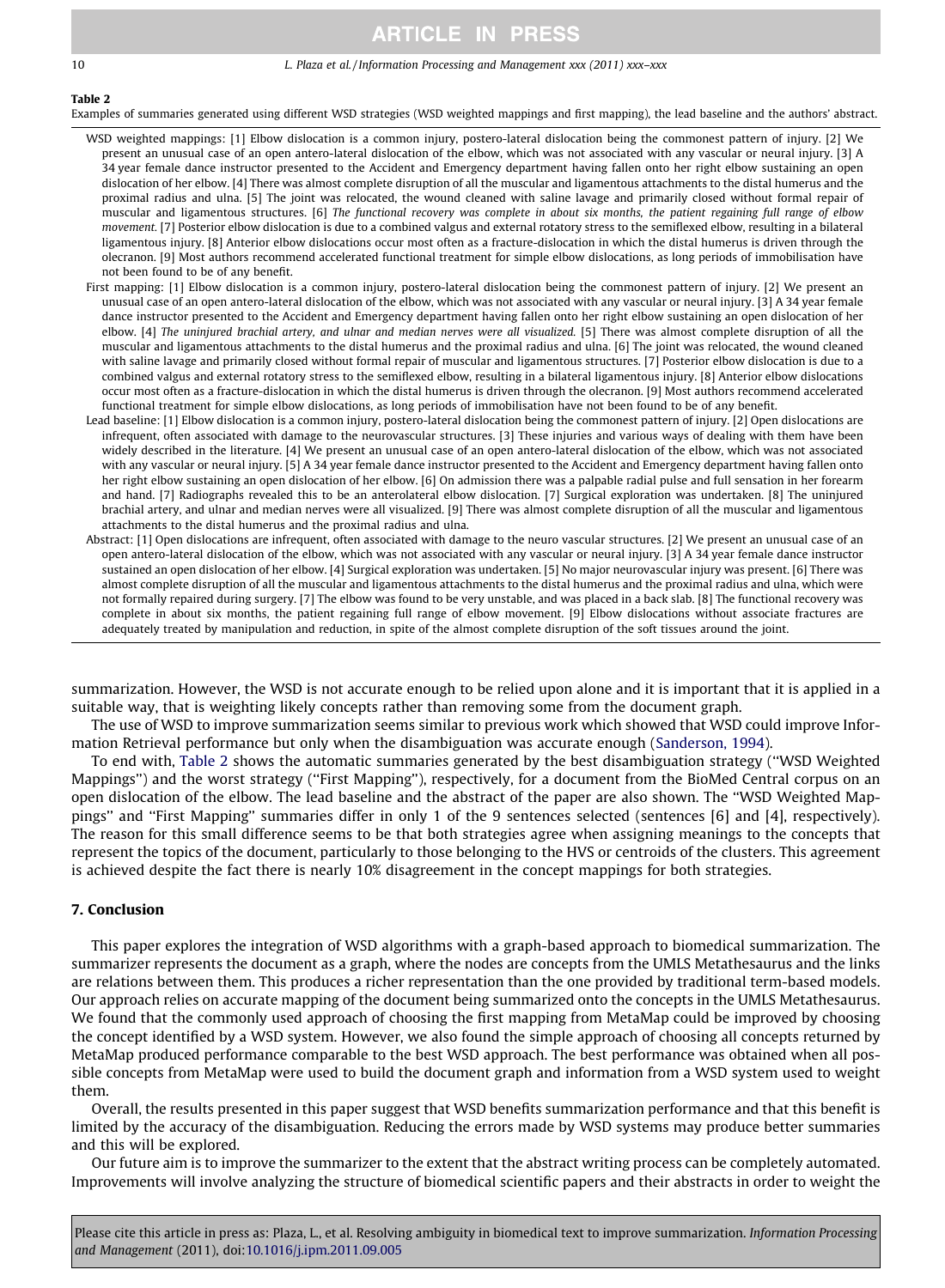#### 10 L. Plaza et al. / Information Processing and Management xxx (2011) xxx–xxx

### Table 2

Examples of summaries generated using different WSD strategies (WSD weighted mappings and first mapping), the lead baseline and the authors' abstract.

- WSD weighted mappings: [1] Elbow dislocation is a common injury, postero-lateral dislocation being the commonest pattern of injury. [2] We present an unusual case of an open antero-lateral dislocation of the elbow, which was not associated with any vascular or neural injury. [3] A 34 year female dance instructor presented to the Accident and Emergency department having fallen onto her right elbow sustaining an open dislocation of her elbow. [4] There was almost complete disruption of all the muscular and ligamentous attachments to the distal humerus and the proximal radius and ulna. [5] The joint was relocated, the wound cleaned with saline lavage and primarily closed without formal repair of muscular and ligamentous structures. [6] The functional recovery was complete in about six months, the patient regaining full range of elbow movement. [7] Posterior elbow dislocation is due to a combined valgus and external rotatory stress to the semiflexed elbow, resulting in a bilateral ligamentous injury. [8] Anterior elbow dislocations occur most often as a fracture-dislocation in which the distal humerus is driven through the olecranon. [9] Most authors recommend accelerated functional treatment for simple elbow dislocations, as long periods of immobilisation have not been found to be of any benefit.
- First mapping: [1] Elbow dislocation is a common injury, postero-lateral dislocation being the commonest pattern of injury. [2] We present an unusual case of an open antero-lateral dislocation of the elbow, which was not associated with any vascular or neural injury. [3] A 34 year female dance instructor presented to the Accident and Emergency department having fallen onto her right elbow sustaining an open dislocation of her elbow. [4] The uninjured brachial artery, and ulnar and median nerves were all visualized. [5] There was almost complete disruption of all the muscular and ligamentous attachments to the distal humerus and the proximal radius and ulna. [6] The joint was relocated, the wound cleaned with saline lavage and primarily closed without formal repair of muscular and ligamentous structures. [7] Posterior elbow dislocation is due to a combined valgus and external rotatory stress to the semiflexed elbow, resulting in a bilateral ligamentous injury. [8] Anterior elbow dislocations occur most often as a fracture-dislocation in which the distal humerus is driven through the olecranon. [9] Most authors recommend accelerated functional treatment for simple elbow dislocations, as long periods of immobilisation have not been found to be of any benefit.
- Lead baseline: [1] Elbow dislocation is a common injury, postero-lateral dislocation being the commonest pattern of injury. [2] Open dislocations are infrequent, often associated with damage to the neurovascular structures. [3] These injuries and various ways of dealing with them have been widely described in the literature. [4] We present an unusual case of an open antero-lateral dislocation of the elbow, which was not associated with any vascular or neural injury. [5] A 34 year female dance instructor presented to the Accident and Emergency department having fallen onto her right elbow sustaining an open dislocation of her elbow. [6] On admission there was a palpable radial pulse and full sensation in her forearm and hand. [7] Radiographs revealed this to be an anterolateral elbow dislocation. [7] Surgical exploration was undertaken. [8] The uninjured brachial artery, and ulnar and median nerves were all visualized. [9] There was almost complete disruption of all the muscular and ligamentous attachments to the distal humerus and the proximal radius and ulna.
- Abstract: [1] Open dislocations are infrequent, often associated with damage to the neuro vascular structures. [2] We present an unusual case of an open antero-lateral dislocation of the elbow, which was not associated with any vascular or neural injury. [3] A 34 year female dance instructor sustained an open dislocation of her elbow. [4] Surgical exploration was undertaken. [5] No major neurovascular injury was present. [6] There was almost complete disruption of all the muscular and ligamentous attachments to the distal humerus and the proximal radius and ulna, which were not formally repaired during surgery. [7] The elbow was found to be very unstable, and was placed in a back slab. [8] The functional recovery was complete in about six months, the patient regaining full range of elbow movement. [9] Elbow dislocations without associate fractures are adequately treated by manipulation and reduction, in spite of the almost complete disruption of the soft tissues around the joint.

summarization. However, the WSD is not accurate enough to be relied upon alone and it is important that it is applied in a suitable way, that is weighting likely concepts rather than removing some from the document graph.

The use of WSD to improve summarization seems similar to previous work which showed that WSD could improve Information Retrieval performance but only when the disambiguation was accurate enough ([Sanderson, 1994\)](#page-11-0).

To end with, Table 2 shows the automatic summaries generated by the best disambiguation strategy (''WSD Weighted Mappings'') and the worst strategy (''First Mapping''), respectively, for a document from the BioMed Central corpus on an open dislocation of the elbow. The lead baseline and the abstract of the paper are also shown. The ''WSD Weighted Mappings'' and ''First Mapping'' summaries differ in only 1 of the 9 sentences selected (sentences [6] and [4], respectively). The reason for this small difference seems to be that both strategies agree when assigning meanings to the concepts that represent the topics of the document, particularly to those belonging to the HVS or centroids of the clusters. This agreement is achieved despite the fact there is nearly 10% disagreement in the concept mappings for both strategies.

### 7. Conclusion

This paper explores the integration of WSD algorithms with a graph-based approach to biomedical summarization. The summarizer represents the document as a graph, where the nodes are concepts from the UMLS Metathesaurus and the links are relations between them. This produces a richer representation than the one provided by traditional term-based models. Our approach relies on accurate mapping of the document being summarized onto the concepts in the UMLS Metathesaurus. We found that the commonly used approach of choosing the first mapping from MetaMap could be improved by choosing the concept identified by a WSD system. However, we also found the simple approach of choosing all concepts returned by MetaMap produced performance comparable to the best WSD approach. The best performance was obtained when all possible concepts from MetaMap were used to build the document graph and information from a WSD system used to weight them.

Overall, the results presented in this paper suggest that WSD benefits summarization performance and that this benefit is limited by the accuracy of the disambiguation. Reducing the errors made by WSD systems may produce better summaries and this will be explored.

Our future aim is to improve the summarizer to the extent that the abstract writing process can be completely automated. Improvements will involve analyzing the structure of biomedical scientific papers and their abstracts in order to weight the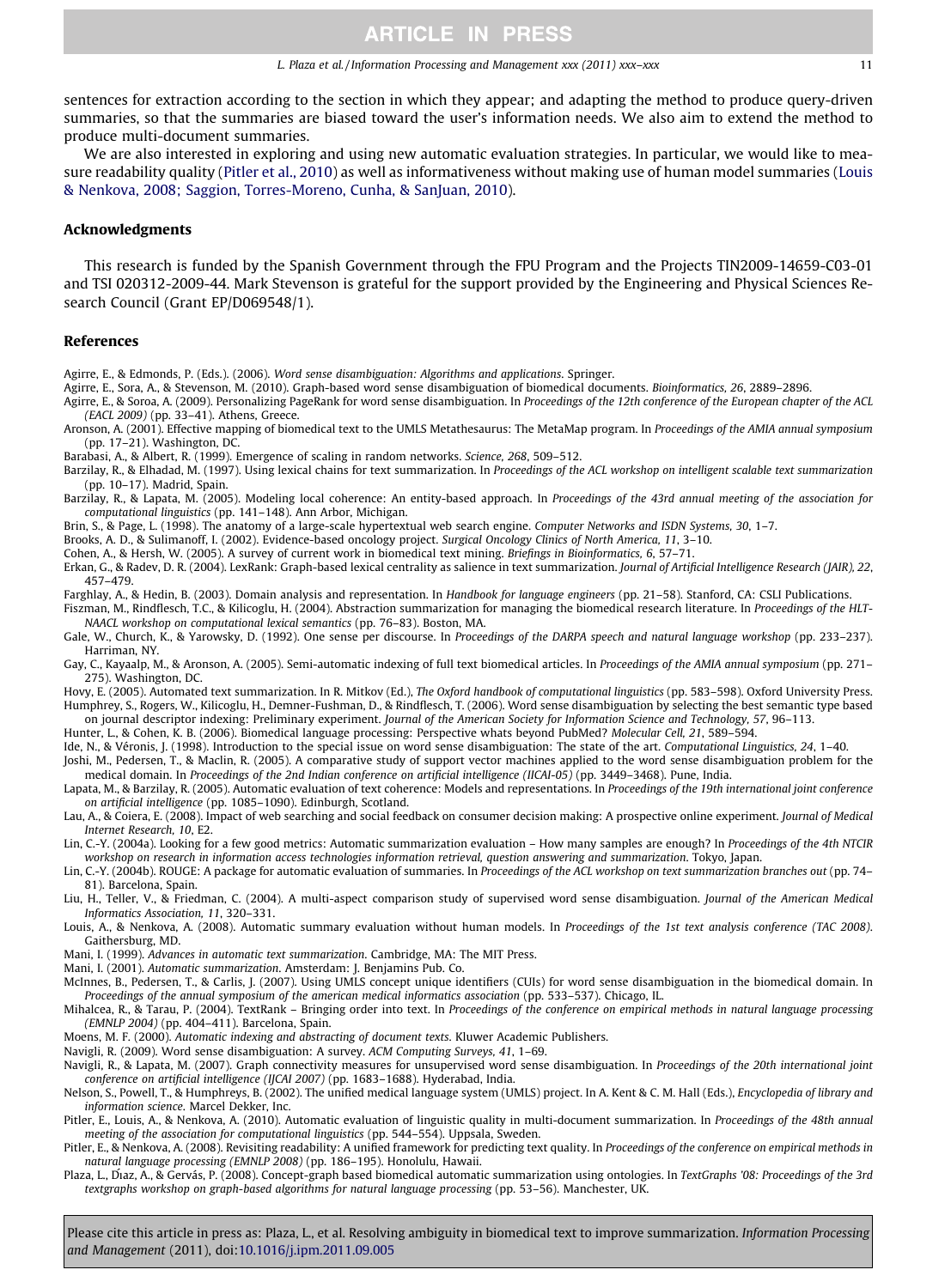<span id="page-10-0"></span>sentences for extraction according to the section in which they appear; and adapting the method to produce query-driven summaries, so that the summaries are biased toward the user's information needs. We also aim to extend the method to produce multi-document summaries.

We are also interested in exploring and using new automatic evaluation strategies. In particular, we would like to measure readability quality (Pitler et al., 2010) as well as informativeness without making use of human model summaries (Louis & Nenkova, 2008; Saggion, Torres-Moreno, Cunha, & SanJuan, 2010).

#### Acknowledgments

This research is funded by the Spanish Government through the FPU Program and the Projects TIN2009-14659-C03-01 and TSI 020312-2009-44. Mark Stevenson is grateful for the support provided by the Engineering and Physical Sciences Research Council (Grant EP/D069548/1).

#### References

Agirre, E., & Edmonds, P. (Eds.). (2006). Word sense disambiguation: Algorithms and applications. Springer.

- Agirre, E., Sora, A., & Stevenson, M. (2010). Graph-based word sense disambiguation of biomedical documents. Bioinformatics, 26, 2889–2896.
- Agirre, E., & Soroa, A. (2009). Personalizing PageRank for word sense disambiguation. In Proceedings of the 12th conference of the European chapter of the ACL (EACL 2009) (pp. 33–41). Athens, Greece.
- Aronson, A. (2001). Effective mapping of biomedical text to the UMLS Metathesaurus: The MetaMap program. In Proceedings of the AMIA annual symposium (pp. 17–21). Washington, DC.
- Barabasi, A., & Albert, R. (1999). Emergence of scaling in random networks. Science, 268, 509–512.
- Barzilay, R., & Elhadad, M. (1997). Using lexical chains for text summarization. In Proceedings of the ACL workshop on intelligent scalable text summarization (pp. 10–17). Madrid, Spain.
- Barzilay, R., & Lapata, M. (2005). Modeling local coherence: An entity-based approach. In Proceedings of the 43rd annual meeting of the association for computational linguistics (pp. 141–148). Ann Arbor, Michigan.
- Brin, S., & Page, L. (1998). The anatomy of a large-scale hypertextual web search engine. Computer Networks and ISDN Systems, 30, 1–7.
- Brooks, A. D., & Sulimanoff, I. (2002). Evidence-based oncology project. Surgical Oncology Clinics of North America, 11, 3–10.
- Cohen, A., & Hersh, W. (2005). A survey of current work in biomedical text mining. Briefings in Bioinformatics, 6, 57–71.

Erkan, G., & Radev, D. R. (2004). LexRank: Graph-based lexical centrality as salience in text summarization. Journal of Artificial Intelligence Research (JAIR), 22, 457–479.

- Farghlay, A., & Hedin, B. (2003). Domain analysis and representation. In Handbook for language engineers (pp. 21–58). Stanford, CA: CSLI Publications.
- Fiszman, M., Rindflesch, T.C., & Kilicoglu, H. (2004). Abstraction summarization for managing the biomedical research literature. In Proceedings of the HLT-NAACL workshop on computational lexical semantics (pp. 76–83). Boston, MA.
- Gale, W., Church, K., & Yarowsky, D. (1992). One sense per discourse. In Proceedings of the DARPA speech and natural language workshop (pp. 233–237). Harriman, NY.
- Gay, C., Kayaalp, M., & Aronson, A. (2005). Semi-automatic indexing of full text biomedical articles. In Proceedings of the AMIA annual symposium (pp. 271– 275). Washington, DC.
- Hovy, E. (2005). Automated text summarization. In R. Mitkov (Ed.), The Oxford handbook of computational linguistics (pp. 583–598). Oxford University Press. Humphrey, S., Rogers, W., Kilicoglu, H., Demner-Fushman, D., & Rindflesch, T. (2006). Word sense disambiguation by selecting the best semantic type based on journal descriptor indexing: Preliminary experiment. Journal of the American Society for Information Science and Technology, 57, 96-113.
- Hunter, L., & Cohen, K. B. (2006). Biomedical language processing: Perspective whats beyond PubMed? Molecular Cell, 21, 589–594.
- Ide, N., & Véronis, J. (1998). Introduction to the special issue on word sense disambiguation: The state of the art. Computational Linguistics, 24, 1-40. Joshi, M., Pedersen, T., & Maclin, R. (2005). A comparative study of support vector machines applied to the word sense disambiguation problem for the
- medical domain. In Proceedings of the 2nd Indian conference on artificial intelligence (IICAI-05) (pp. 3449–3468). Pune, India. Lapata, M., & Barzilay, R. (2005). Automatic evaluation of text coherence: Models and representations. In Proceedings of the 19th international joint conference on artificial intelligence (pp. 1085–1090). Edinburgh, Scotland.
- Lau, A., & Coiera, E. (2008). Impact of web searching and social feedback on consumer decision making: A prospective online experiment. Journal of Medical Internet Research, 10, E2.
- Lin, C.-Y. (2004a). Looking for a few good metrics: Automatic summarization evaluation How many samples are enough? In Proceedings of the 4th NTCIR workshop on research in information access technologies information retrieval, question answering and summarization. Tokyo, Japan.
- Lin, C.-Y. (2004b). ROUGE: A package for automatic evaluation of summaries. In Proceedings of the ACL workshop on text summarization branches out (pp. 74– 81). Barcelona, Spain.
- Liu, H., Teller, V., & Friedman, C. (2004). A multi-aspect comparison study of supervised word sense disambiguation. Journal of the American Medical Informatics Association, 11, 320–331.
- Louis, A., & Nenkova, A. (2008). Automatic summary evaluation without human models. In Proceedings of the 1st text analysis conference (TAC 2008). Gaithersburg, MD.
- Mani, I. (1999). Advances in automatic text summarization. Cambridge, MA: The MIT Press.
- Mani, I. (2001). Automatic summarization. Amsterdam: J. Benjamins Pub. Co.
- McInnes, B., Pedersen, T., & Carlis, J. (2007). Using UMLS concept unique identifiers (CUIs) for word sense disambiguation in the biomedical domain. In Proceedings of the annual symposium of the american medical informatics association (pp. 533–537). Chicago, IL.
- Mihalcea, R., & Tarau, P. (2004). TextRank Bringing order into text. In Proceedings of the conference on empirical methods in natural language processing (EMNLP 2004) (pp. 404–411). Barcelona, Spain.
- Moens, M. F. (2000). Automatic indexing and abstracting of document texts. Kluwer Academic Publishers.
- Navigli, R. (2009). Word sense disambiguation: A survey. ACM Computing Surveys, 41, 1–69.
- Navigli, R., & Lapata, M. (2007). Graph connectivity measures for unsupervised word sense disambiguation. In Proceedings of the 20th international joint conference on artificial intelligence (IJCAI 2007) (pp. 1683–1688). Hyderabad, India.
- Nelson, S., Powell, T., & Humphreys, B. (2002). The unified medical language system (UMLS) project. In A. Kent & C. M. Hall (Eds.), Encyclopedia of library and information science. Marcel Dekker, Inc.
- Pitler, E., Louis, A., & Nenkova, A. (2010). Automatic evaluation of linguistic quality in multi-document summarization. In Proceedings of the 48th annual meeting of the association for computational linguistics (pp. 544–554). Uppsala, Sweden.
- Pitler, E., & Nenkova, A. (2008). Revisiting readability: A unified framework for predicting text quality. In Proceedings of the conference on empirical methods in natural language processing (EMNLP 2008) (pp. 186–195). Honolulu, Hawaii.
- Plaza, L., Diaz, A., & Gervás, P. (2008). Concept-graph based biomedical automatic summarization using ontologies. In TextGraphs '08: Proceedings of the 3rd textgraphs workshop on graph-based algorithms for natural language processing (pp. 53–56). Manchester, UK.